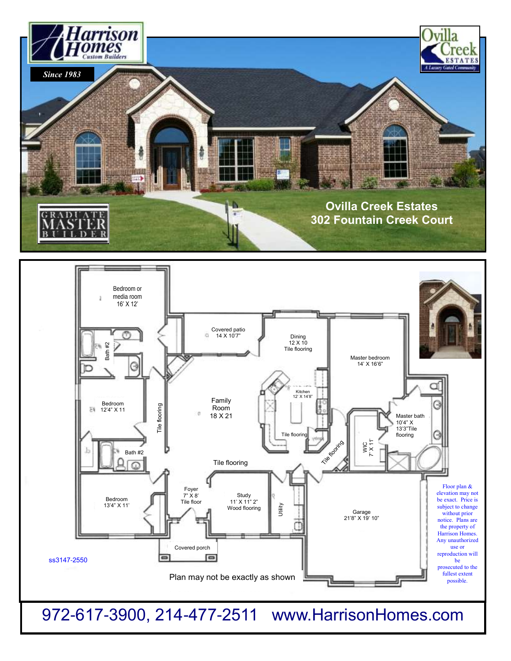



972-617-3900, 214-477-2511 www.HarrisonHomes.com